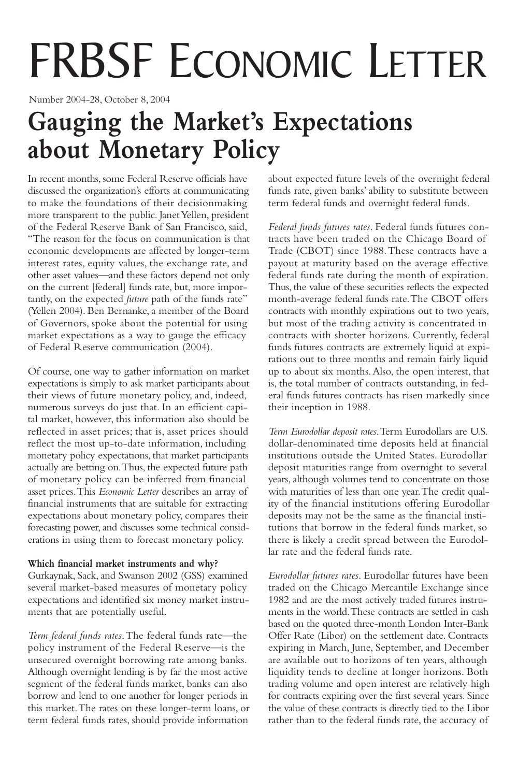# FRBSF ECONOMIC LETTER

Number 2004-28, October 8, 2004

# **Gauging the Market's Expectations about Monetary Policy**

In recent months, some Federal Reserve officials have discussed the organization's efforts at communicating to make the foundations of their decisionmaking more transparent to the public. Janet Yellen, president of the Federal Reserve Bank of San Francisco, said, "The reason for the focus on communication is that economic developments are affected by longer-term interest rates, equity values, the exchange rate, and other asset values—and these factors depend not only on the current [federal] funds rate, but, more importantly, on the expected *future* path of the funds rate" (Yellen 2004). Ben Bernanke, a member of the Board of Governors, spoke about the potential for using market expectations as a way to gauge the efficacy of Federal Reserve communication (2004).

Of course, one way to gather information on market expectations is simply to ask market participants about their views of future monetary policy, and, indeed, numerous surveys do just that. In an efficient capital market, however, this information also should be reflected in asset prices; that is, asset prices should reflect the most up-to-date information, including monetary policy expectations, that market participants actually are betting on.Thus, the expected future path of monetary policy can be inferred from financial asset prices.This *Economic Letter* describes an array of financial instruments that are suitable for extracting expectations about monetary policy, compares their forecasting power, and discusses some technical considerations in using them to forecast monetary policy.

# **Which financial market instruments and why?**

Gurkaynak, Sack, and Swanson 2002 (GSS) examined several market-based measures of monetary policy expectations and identified six money market instruments that are potentially useful.

*Term federal funds rates*.The federal funds rate—the policy instrument of the Federal Reserve—is the unsecured overnight borrowing rate among banks. Although overnight lending is by far the most active segment of the federal funds market, banks can also borrow and lend to one another for longer periods in this market.The rates on these longer-term loans, or term federal funds rates, should provide information

about expected future levels of the overnight federal funds rate, given banks' ability to substitute between term federal funds and overnight federal funds.

*Federal funds futures rates*. Federal funds futures contracts have been traded on the Chicago Board of Trade (CBOT) since 1988.These contracts have a payout at maturity based on the average effective federal funds rate during the month of expiration. Thus, the value of these securities reflects the expected month-average federal funds rate.The CBOT offers contracts with monthly expirations out to two years, but most of the trading activity is concentrated in contracts with shorter horizons. Currently, federal funds futures contracts are extremely liquid at expirations out to three months and remain fairly liquid up to about six months.Also, the open interest, that is, the total number of contracts outstanding, in federal funds futures contracts has risen markedly since their inception in 1988.

*Term Eurodollar deposit rates*.Term Eurodollars are U.S. dollar-denominated time deposits held at financial institutions outside the United States. Eurodollar deposit maturities range from overnight to several years, although volumes tend to concentrate on those with maturities of less than one year.The credit quality of the financial institutions offering Eurodollar deposits may not be the same as the financial institutions that borrow in the federal funds market, so there is likely a credit spread between the Eurodollar rate and the federal funds rate.

*Eurodollar futures rates*. Eurodollar futures have been traded on the Chicago Mercantile Exchange since 1982 and are the most actively traded futures instruments in the world.These contracts are settled in cash based on the quoted three-month London Inter-Bank Offer Rate (Libor) on the settlement date. Contracts expiring in March, June, September, and December are available out to horizons of ten years, although liquidity tends to decline at longer horizons. Both trading volume and open interest are relatively high for contracts expiring over the first several years. Since the value of these contracts is directly tied to the Libor rather than to the federal funds rate, the accuracy of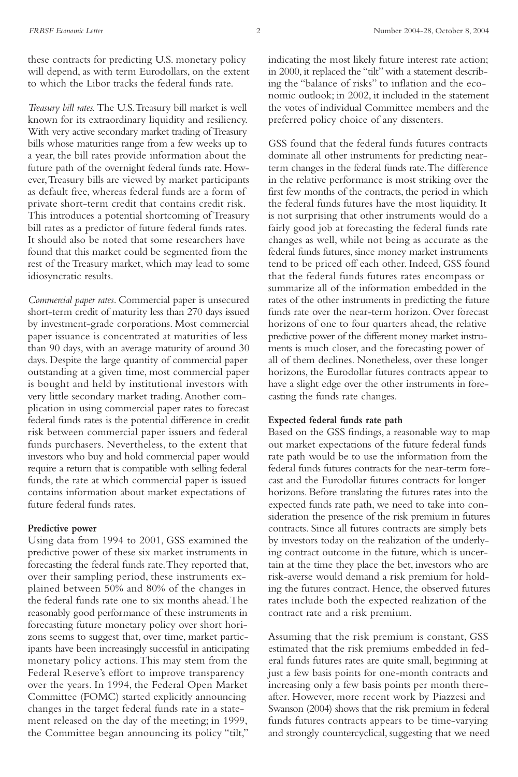these contracts for predicting U.S. monetary policy will depend, as with term Eurodollars, on the extent to which the Libor tracks the federal funds rate.

*Treasury bill rates.*The U.S.Treasury bill market is well known for its extraordinary liquidity and resiliency. With very active secondary market trading of Treasury bills whose maturities range from a few weeks up to a year, the bill rates provide information about the future path of the overnight federal funds rate. However,Treasury bills are viewed by market participants as default free, whereas federal funds are a form of private short-term credit that contains credit risk. This introduces a potential shortcoming of Treasury bill rates as a predictor of future federal funds rates. It should also be noted that some researchers have found that this market could be segmented from the rest of the Treasury market, which may lead to some idiosyncratic results.

*Commercial paper rates*. Commercial paper is unsecured short-term credit of maturity less than 270 days issued by investment-grade corporations. Most commercial paper issuance is concentrated at maturities of less than 90 days, with an average maturity of around 30 days. Despite the large quantity of commercial paper outstanding at a given time, most commercial paper is bought and held by institutional investors with very little secondary market trading.Another complication in using commercial paper rates to forecast federal funds rates is the potential difference in credit risk between commercial paper issuers and federal funds purchasers. Nevertheless, to the extent that investors who buy and hold commercial paper would require a return that is compatible with selling federal funds, the rate at which commercial paper is issued contains information about market expectations of future federal funds rates.

### **Predictive power**

Using data from 1994 to 2001, GSS examined the predictive power of these six market instruments in forecasting the federal funds rate.They reported that, over their sampling period, these instruments explained between 50% and 80% of the changes in the federal funds rate one to six months ahead.The reasonably good performance of these instruments in forecasting future monetary policy over short horizons seems to suggest that, over time, market participants have been increasingly successful in anticipating monetary policy actions.This may stem from the Federal Reserve's effort to improve transparency over the years. In 1994, the Federal Open Market Committee (FOMC) started explicitly announcing changes in the target federal funds rate in a statement released on the day of the meeting; in 1999, the Committee began announcing its policy "tilt,"

indicating the most likely future interest rate action; in 2000, it replaced the "tilt" with a statement describing the "balance of risks" to inflation and the economic outlook; in 2002, it included in the statement the votes of individual Committee members and the preferred policy choice of any dissenters.

GSS found that the federal funds futures contracts dominate all other instruments for predicting nearterm changes in the federal funds rate.The difference in the relative performance is most striking over the first few months of the contracts, the period in which the federal funds futures have the most liquidity. It is not surprising that other instruments would do a fairly good job at forecasting the federal funds rate changes as well, while not being as accurate as the federal funds futures, since money market instruments tend to be priced off each other. Indeed, GSS found that the federal funds futures rates encompass or summarize all of the information embedded in the rates of the other instruments in predicting the future funds rate over the near-term horizon. Over forecast horizons of one to four quarters ahead, the relative predictive power of the different money market instruments is much closer, and the forecasting power of all of them declines. Nonetheless, over these longer horizons, the Eurodollar futures contracts appear to have a slight edge over the other instruments in forecasting the funds rate changes.

#### **Expected federal funds rate path**

Based on the GSS findings, a reasonable way to map out market expectations of the future federal funds rate path would be to use the information from the federal funds futures contracts for the near-term forecast and the Eurodollar futures contracts for longer horizons. Before translating the futures rates into the expected funds rate path, we need to take into consideration the presence of the risk premium in futures contracts. Since all futures contracts are simply bets by investors today on the realization of the underlying contract outcome in the future, which is uncertain at the time they place the bet, investors who are risk-averse would demand a risk premium for holding the futures contract. Hence, the observed futures rates include both the expected realization of the contract rate and a risk premium.

Assuming that the risk premium is constant, GSS estimated that the risk premiums embedded in federal funds futures rates are quite small, beginning at just a few basis points for one-month contracts and increasing only a few basis points per month thereafter. However, more recent work by Piazzesi and Swanson (2004) shows that the risk premium in federal funds futures contracts appears to be time-varying and strongly countercyclical, suggesting that we need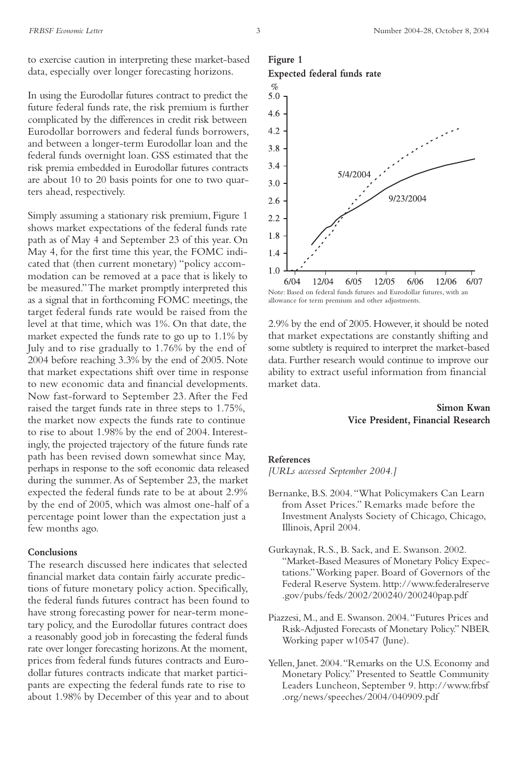to exercise caution in interpreting these market-based data, especially over longer forecasting horizons.

In using the Eurodollar futures contract to predict the future federal funds rate, the risk premium is further complicated by the differences in credit risk between Eurodollar borrowers and federal funds borrowers, and between a longer-term Eurodollar loan and the federal funds overnight loan. GSS estimated that the risk premia embedded in Eurodollar futures contracts are about 10 to 20 basis points for one to two quarters ahead, respectively.

Simply assuming a stationary risk premium, Figure 1 shows market expectations of the federal funds rate path as of May 4 and September 23 of this year. On May 4, for the first time this year, the FOMC indicated that (then current monetary) "policy accommodation can be removed at a pace that is likely to be measured."The market promptly interpreted this as a signal that in forthcoming FOMC meetings, the target federal funds rate would be raised from the level at that time, which was 1%. On that date, the market expected the funds rate to go up to 1.1% by July and to rise gradually to 1.76% by the end of 2004 before reaching 3.3% by the end of 2005. Note that market expectations shift over time in response to new economic data and financial developments. Now fast-forward to September 23. After the Fed raised the target funds rate in three steps to 1.75%, the market now expects the funds rate to continue to rise to about 1.98% by the end of 2004. Interestingly, the projected trajectory of the future funds rate path has been revised down somewhat since May, perhaps in response to the soft economic data released during the summer.As of September 23, the market expected the federal funds rate to be at about 2.9% by the end of 2005, which was almost one-half of a percentage point lower than the expectation just a few months ago.

#### **Conclusions**

The research discussed here indicates that selected financial market data contain fairly accurate predictions of future monetary policy action. Specifically, the federal funds futures contract has been found to have strong forecasting power for near-term monetary policy, and the Eurodollar futures contract does a reasonably good job in forecasting the federal funds rate over longer forecasting horizons.At the moment, prices from federal funds futures contracts and Eurodollar futures contracts indicate that market participants are expecting the federal funds rate to rise to about 1.98% by December of this year and to about

# **Figure 1 Expected federal funds rate**



allowance for term premium and other adjustments.

2.9% by the end of 2005. However, it should be noted that market expectations are constantly shifting and some subtlety is required to interpret the market-based data. Further research would continue to improve our ability to extract useful information from financial market data.

# **Simon Kwan Vice President, Financial Research**

#### **References**

*[URLs accessed September 2004.]*

- Bernanke, B.S. 2004."What Policymakers Can Learn from Asset Prices." Remarks made before the Investment Analysts Society of Chicago, Chicago, Illinois,April 2004.
- Gurkaynak, R.S., B. Sack, and E. Swanson. 2002. "Market-Based Measures of Monetary Policy Expectations."Working paper. Board of Governors of the Federal Reserve System. http://www.federalreserve .gov/pubs/feds/2002/200240/200240pap.pdf
- Piazzesi, M., and E. Swanson. 2004."Futures Prices and Risk-Adjusted Forecasts of Monetary Policy." NBER Working paper w10547 (June).
- Yellen, Janet. 2004."Remarks on the U.S. Economy and Monetary Policy." Presented to Seattle Community Leaders Luncheon, September 9. http://www.frbsf .org/news/speeches/2004/040909.pdf